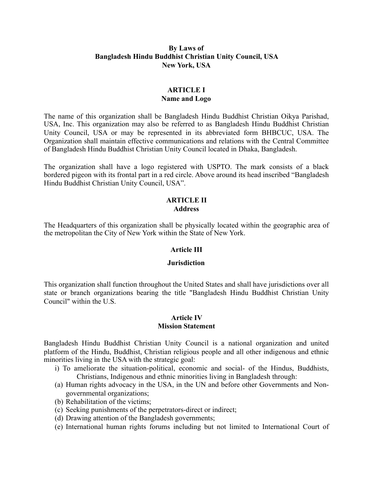### **By Laws of Bangladesh Hindu Buddhist Christian Unity Council, USA New York, USA**

### **ARTICLE I Name and Logo**

The name of this organization shall be Bangladesh Hindu Buddhist Christian Oikya Parishad, USA, Inc. This organization may also be referred to as Bangladesh Hindu Buddhist Christian Unity Council, USA or may be represented in its abbreviated form BHBCUC, USA. The Organization shall maintain effective communications and relations with the Central Committee of Bangladesh Hindu Buddhist Christian Unity Council located in Dhaka, Bangladesh.

The organization shall have a logo registered with USPTO. The mark consists of a black bordered pigeon with its frontal part in a red circle. Above around its head inscribed "Bangladesh Hindu Buddhist Christian Unity Council, USA".

### **ARTICLE II Address**

The Headquarters of this organization shall be physically located within the geographic area of the metropolitan the City of New York within the State of New York.

## **Article III**

### **Jurisdiction**

This organization shall function throughout the United States and shall have jurisdictions over all state or branch organizations bearing the title "Bangladesh Hindu Buddhist Christian Unity Council" within the U.S.

#### **Article IV Mission Statement**

Bangladesh Hindu Buddhist Christian Unity Council is a national organization and united platform of the Hindu, Buddhist, Christian religious people and all other indigenous and ethnic minorities living in the USA with the strategic goal:

- i) To ameliorate the situation-political, economic and social- of the Hindus, Buddhists, Christians, Indigenous and ethnic minorities living in Bangladesh through:
- (a) Human rights advocacy in the USA, in the UN and before other Governments and Nongovernmental organizations;
- (b) Rehabilitation of the victims;
- (c) Seeking punishments of the perpetrators-direct or indirect;
- (d) Drawing attention of the Bangladesh governments;
- (e) International human rights forums including but not limited to International Court of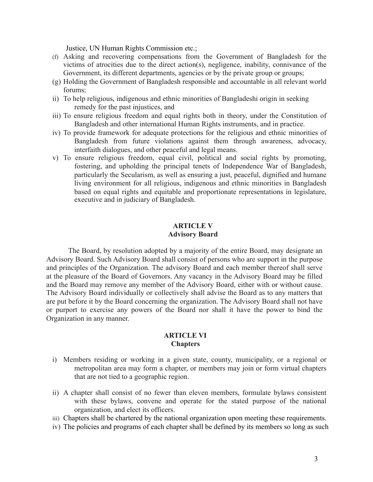Justice, UN Human Rights Commission etc.;

- (f) Asking and recovering compensations from the Government of Bangladesh for the victims of atrocities due to the direct action(s), negligence, inability, connivance of the Government, its different departments, agencies or by the private group or groups;
- (g) Holding the Government of Bangladesh responsible and accountable in all relevant world forums;
- ii) To help religious, indigenous and ethnic minorities of Bangladeshi origin in seeking remedy for the past injustices, and
- iii) To ensure religious freedom and equal rights both in theory, under the Constitution of Bangladesh and other international Human Rights instruments, and in practice.
- iv) To provide framework for adequate protections for the religious and ethnic minorities of Bangladesh from future violations against them through awareness, advocacy, interfaith dialogues, and other peaceful and legal means.
- v) To ensure religious freedom, equal civil, political and social rights by promoting, fostering, and upholding the principal tenets of Independence War of Bangladesh, particularly the Secularism, as well as ensuring a just, peaceful, dignified and humane living environment for all religious, indigenous and ethnic minorities in Bangladesh based on equal rights and equitable and proportionate representations in legislature, executive and in judiciary of Bangladesh.

### **ARTICLE V Advisory Board**

The Board, by resolution adopted by a majority of the entire Board, may designate an Advisory Board. Such Advisory Board shall consist of persons who are support in the purpose and principles of the Organization. The advisory Board and each member thereof shall serve at the pleasure of the Board of Governors. Any vacancy in the Advisory Board may be filled and the Board may remove any member of the Advisory Board, either with or without cause. The Advisory Board individually or collectively shall advise the Board as to any matters that are put before it by the Board concerning the organization. The Advisory Board shall not have or purport to exercise any powers of the Board nor shall it have the power to bind the Organization in any manner.

### **ARTICLE VI Chapters**

- i) Members residing or working in a given state, county, municipality, or a regional or metropolitan area may form a chapter, or members may join or form virtual chapters that are not tied to a geographic region.
- ii) A chapter shall consist of no fewer than eleven members, formulate bylaws consistent with these bylaws, convene and operate for the stated purpose of the national organization, and elect its officers.
- iii) Chapters shall be chartered by the national organization upon meeting these requirements.
- iv) The policies and programs of each chapter shall be defined by its members so long as such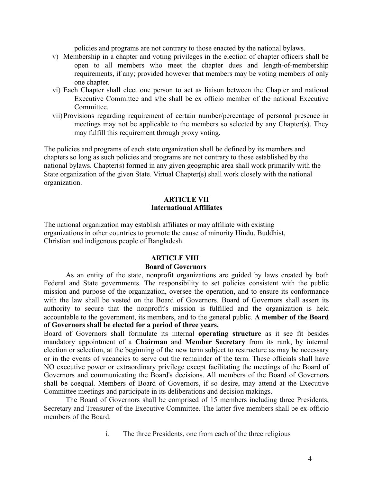policies and programs are not contrary to those enacted by the national bylaws.

- v) Membership in a chapter and voting privileges in the election of chapter officers shall be open to all members who meet the chapter dues and length-of-membership requirements, if any; provided however that members may be voting members of only one chapter.
- vi) Each Chapter shall elect one person to act as liaison between the Chapter and national Executive Committee and s/he shall be ex officio member of the national Executive **Committee**
- vii)Provisions regarding requirement of certain number/percentage of personal presence in meetings may not be applicable to the members so selected by any Chapter(s). They may fulfill this requirement through proxy voting.

The policies and programs of each state organization shall be defined by its members and chapters so long as such policies and programs are not contrary to those established by the national bylaws. Chapter(s) formed in any given geographic area shall work primarily with the State organization of the given State. Virtual Chapter(s) shall work closely with the national organization.

#### **ARTICLE VII International Affiliates**

The national organization may establish affiliates or may affiliate with existing organizations in other countries to promote the cause of minority Hindu, Buddhist, Christian and indigenous people of Bangladesh.

### **ARTICLE VIII**

### **Board of Governors**

As an entity of the state, nonprofit organizations are guided by laws created by both Federal and State governments. The responsibility to set policies consistent with the public mission and purpose of the organization, oversee the operation, and to ensure its conformance with the law shall be vested on the Board of Governors. Board of Governors shall assert its authority to secure that the nonprofit's mission is fulfilled and the organization is held accountable to the government, its members, and to the general public. **A member of the Board of Governors shall be elected for a period of three years.** 

Board of Governors shall formulate its internal **operating structure** as it see fit besides mandatory appointment of a **Chairman** and **Member Secretary** from its rank, by internal election or selection, at the beginning of the new term subject to restructure as may be necessary or in the events of vacancies to serve out the remainder of the term. These officials shall have NO executive power or extraordinary privilege except facilitating the meetings of the Board of Governors and communicating the Board's decisions. All members of the Board of Governors shall be coequal. Members of Board of Governors, if so desire, may attend at the Executive Committee meetings and participate in its deliberations and decision makings.

The Board of Governors shall be comprised of 15 members including three Presidents, Secretary and Treasurer of the Executive Committee. The latter five members shall be ex-officio members of the Board.

i. The three Presidents, one from each of the three religious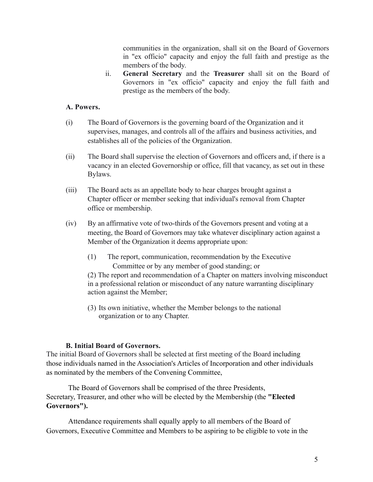communities in the organization, shall sit on the Board of Governors in "ex officio" capacity and enjoy the full faith and prestige as the members of the body.

ii. **General Secretary** and the **Treasurer** shall sit on the Board of Governors in "ex officio" capacity and enjoy the full faith and prestige as the members of the body.

## **A. Powers.**

- (i) The Board of Governors is the governing board of the Organization and it supervises, manages, and controls all of the affairs and business activities, and establishes all of the policies of the Organization.
- (ii) The Board shall supervise the election of Governors and officers and, if there is a vacancy in an elected Governorship or office, fill that vacancy, as set out in these Bylaws.
- (iii) The Board acts as an appellate body to hear charges brought against a Chapter officer or member seeking that individual's removal from Chapter office or membership.
- (iv) By an affirmative vote of two-thirds of the Governors present and voting at a meeting, the Board of Governors may take whatever disciplinary action against a Member of the Organization it deems appropriate upon:
	- (1) The report, communication, recommendation by the Executive Committee or by any member of good standing; or

(2) The report and recommendation of a Chapter on matters involving misconduct in a professional relation or misconduct of any nature warranting disciplinary action against the Member;

(3) Its own initiative, whether the Member belongs to the national organization or to any Chapter.

### **B. Initial Board of Governors.**

The initial Board of Governors shall be selected at first meeting of the Board including those individuals named in the Association's Articles of Incorporation and other individuals as nominated by the members of the Convening Committee,

The Board of Governors shall be comprised of the three Presidents, Secretary, Treasurer, and other who will be elected by the Membership (the **"Elected Governors").** 

Attendance requirements shall equally apply to all members of the Board of Governors, Executive Committee and Members to be aspiring to be eligible to vote in the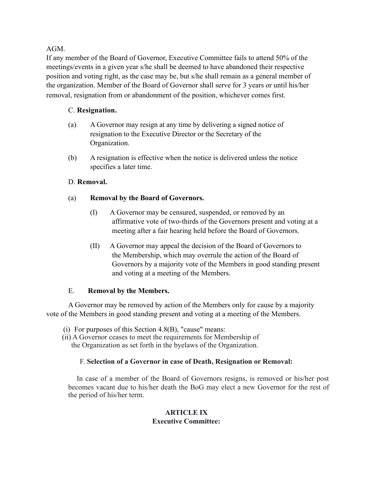## AGM.

If any member of the Board of Governor, Executive Committee fails to attend 50% of the meetings/events in a given year s/he shall be deemed to have abandoned their respective position and voting right, as the case may be, but s/he shall remain as a general member of the organization. Member of the Board of Governor shall serve for 3 years or until his/her removal, resignation from or abandonment of the position, whichever comes first.

# C. **Resignation.**

- (a) A Governor may resign at any time by delivering a signed notice of resignation to the Executive Director or the Secretary of the Organization.
- (b) A resignation is effective when the notice is delivered unless the notice specifies a later time.

# D. **Removal.**

# (a) **Removal by the Board of Governors.**

- (I) A Governor may be censured, suspended, or removed by an affirmative vote of two-thirds of the Governors present and voting at a meeting after a fair hearing held before the Board of Governors.
- (II) A Governor may appeal the decision of the Board of Governors to the Membership, which may overrule the action of the Board of Governors by a majority vote of the Members in good standing present and voting at a meeting of the Members.

## E. **Removal by the Members.**

A Governor may be removed by action of the Members only for cause by a majority vote of the Members in good standing present and voting at a meeting of the Members.

- (i) For purposes of this Section  $4.8(B)$ , "cause" means:
- (ii) A Governor ceases to meet the requirements for Membership of the Organization as set forth in the byelaws of the Organization.

## F. **Selection of a Governor in case of Death, Resignation or Removal:**

In case of a member of the Board of Governors resigns, is removed or his/her post becomes vacant due to his/her death the BoG may elect a new Governor for the rest of the period of his/her term.

### **ARTICLE IX Executive Committee:**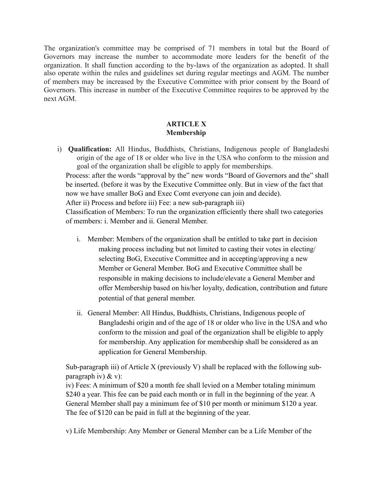The organization's committee may be comprised of 71 members in total but the Board of Governors may increase the number to accommodate more leaders for the benefit of the organization. It shall function according to the by-laws of the organization as adopted. It shall also operate within the rules and guidelines set during regular meetings and AGM. The number of members may be increased by the Executive Committee with prior consent by the Board of Governors. This increase in number of the Executive Committee requires to be approved by the next AGM.

## **ARTICLE X Membership**

i) **Qualification:** All Hindus, Buddhists, Christians, Indigenous people of Bangladeshi origin of the age of 18 or older who live in the USA who conform to the mission and goal of the organization shall be eligible to apply for memberships.

Process: after the words "approval by the" new words "Board of Governors and the" shall be inserted. (before it was by the Executive Committee only. But in view of the fact that now we have smaller BoG and Exec Comt everyone can join and decide).

After ii) Process and before iii) Fee: a new sub-paragraph iii)

Classification of Members: To run the organization efficiently there shall two categories of members: i. Member and ii. General Member.

- i. Member: Members of the organization shall be entitled to take part in decision making process including but not limited to casting their votes in electing/ selecting BoG, Executive Committee and in accepting/approving a new Member or General Member. BoG and Executive Committee shall be responsible in making decisions to include/elevate a General Member and offer Membership based on his/her loyalty, dedication, contribution and future potential of that general member.
- ii. General Member: All Hindus, Buddhists, Christians, Indigenous people of Bangladeshi origin and of the age of 18 or older who live in the USA and who conform to the mission and goal of the organization shall be eligible to apply for membership. Any application for membership shall be considered as an application for General Membership.

Sub-paragraph iii) of Article X (previously V) shall be replaced with the following subparagraph iv)  $&$  v):

iv) Fees: A minimum of \$20 a month fee shall levied on a Member totaling minimum \$240 a year. This fee can be paid each month or in full in the beginning of the year. A General Member shall pay a minimum fee of \$10 per month or minimum \$120 a year. The fee of \$120 can be paid in full at the beginning of the year.

v) Life Membership: Any Member or General Member can be a Life Member of the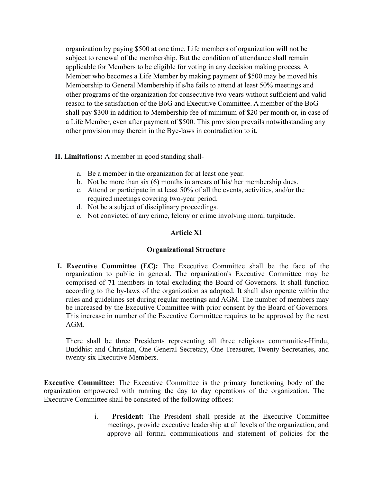organization by paying \$500 at one time. Life members of organization will not be subject to renewal of the membership. But the condition of attendance shall remain applicable for Members to be eligible for voting in any decision making process. A Member who becomes a Life Member by making payment of \$500 may be moved his Membership to General Membership if s/he fails to attend at least 50% meetings and other programs of the organization for consecutive two years without sufficient and valid reason to the satisfaction of the BoG and Executive Committee. A member of the BoG shall pay \$300 in addition to Membership fee of minimum of \$20 per month or, in case of a Life Member, even after payment of \$500. This provision prevails notwithstanding any other provision may therein in the Bye-laws in contradiction to it.

## **II. Limitations:** A member in good standing shall-

- a. Be a member in the organization for at least one year.
- b. Not be more than six (6) months in arrears of his/ her membership dues.
- c. Attend or participate in at least 50% of all the events, activities, and/or the required meetings covering two-year period.
- d. Not be a subject of disciplinary proceedings.
- e. Not convicted of any crime, felony or crime involving moral turpitude.

## **Article XI**

### **Organizational Structure**

**I. Executive Committee (EC):** The Executive Committee shall be the face of the organization to public in general. The organization's Executive Committee may be comprised of **71** members in total excluding the Board of Governors. It shall function according to the by-laws of the organization as adopted. It shall also operate within the rules and guidelines set during regular meetings and AGM. The number of members may be increased by the Executive Committee with prior consent by the Board of Governors. This increase in number of the Executive Committee requires to be approved by the next AGM.

There shall be three Presidents representing all three religious communities-Hindu, Buddhist and Christian, One General Secretary, One Treasurer, Twenty Secretaries, and twenty six Executive Members.

**Executive Committee:** The Executive Committee is the primary functioning body of the organization empowered with running the day to day operations of the organization. The Executive Committee shall be consisted of the following offices:

> i. **President:** The President shall preside at the Executive Committee meetings, provide executive leadership at all levels of the organization, and approve all formal communications and statement of policies for the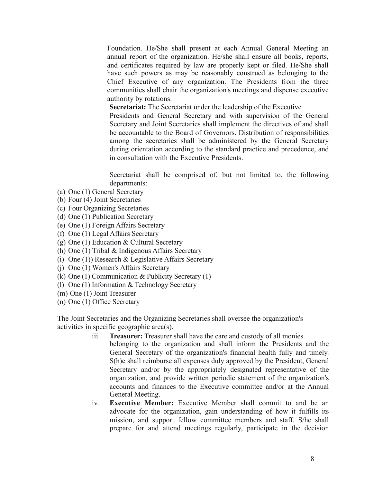Foundation. He/She shall present at each Annual General Meeting an annual report of the organization. He/she shall ensure all books, reports, and certificates required by law are properly kept or filed. He/She shall have such powers as may be reasonably construed as belonging to the Chief Executive of any organization. The Presidents from the three communities shall chair the organization's meetings and dispense executive authority by rotations.

**Secretariat:** The Secretariat under the leadership of the Executive

Presidents and General Secretary and with supervision of the General Secretary and Joint Secretaries shall implement the directives of and shall be accountable to the Board of Governors. Distribution of responsibilities among the secretaries shall be administered by the General Secretary during orientation according to the standard practice and precedence, and in consultation with the Executive Presidents.

Secretariat shall be comprised of, but not limited to, the following departments:

- (a) One (1) General Secretary
- (b) Four (4) Joint Secretaries
- (c) Four Organizing Secretaries
- (d) One (1) Publication Secretary
- (e) One (1) Foreign Affairs Secretary
- (f) One (1) Legal Affairs Secretary
- (g) One (1) Education & Cultural Secretary
- (h) One (1) Tribal & Indigenous Affairs Secretary
- (i) One (1)) Research & Legislative Affairs Secretary
- (j) One (1) Women's Affairs Secretary
- (k) One (1) Communication & Publicity Secretary (1)
- (l) One (1) Information & Technology Secretary
- (m) One (1) Joint Treasurer
- (n) One (1) Office Secretary

The Joint Secretaries and the Organizing Secretaries shall oversee the organization's activities in specific geographic area(s).

- iii. **Treasurer:** Treasurer shall have the care and custody of all monies belonging to the organization and shall inform the Presidents and the General Secretary of the organization's financial health fully and timely. S(h)e shall reimburse all expenses duly approved by the President, General Secretary and/or by the appropriately designated representative of the organization, and provide written periodic statement of the organization's accounts and finances to the Executive committee and/or at the Annual General Meeting.
- iv. **Executive Member:** Executive Member shall commit to and be an advocate for the organization, gain understanding of how it fulfills its mission, and support fellow committee members and staff. S/he shall prepare for and attend meetings regularly, participate in the decision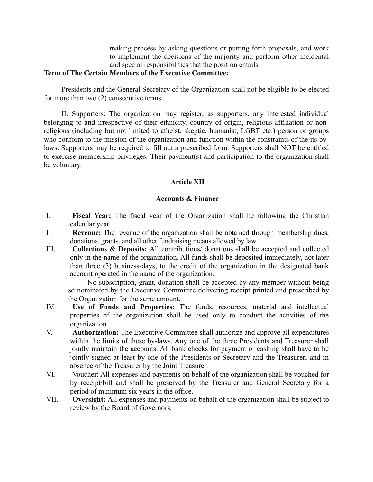making process by asking questions or putting forth proposals, and work to implement the decisions of the majority and perform other incidental and special responsibilities that the position entails.

#### **Term of The Certain Members of the Executive Committee:**

Presidents and the General Secretary of the Organization shall not be eligible to be elected for more than two (2) consecutive terms.

II. Supporters: The organization may register, as supporters, any interested individual belonging to and irrespective of their ethnicity, country of origin, religious affiliation or nonreligious (including but not limited to atheist, skeptic, humanist, LGBT etc.) person or groups who conform to the mission of the organization and function within the constraints of the its bylaws. Supporters may be required to fill out a prescribed form. Supporters shall NOT be entitled to exercise membership privileges. Their payment(s) and participation to the organization shall be voluntary.

### **Article XII**

### **Accounts & Finance**

- I. **Fiscal Year:** The fiscal year of the Organization shall be following the Christian calendar year.
- II. **Revenue:** The revenue of the organization shall be obtained through membership dues, donations, grants, and all other fundraising means allowed by law.
- III. **Collections & Deposits:** All contributions/ donations shall be accepted and collected only in the name of the organization. All funds shall be deposited immediately, not later than three (3) business-days, to the credit of the organization in the designated bank account operated in the name of the organization.

No subscription, grant, donation shall be accepted by any member without being so nominated by the Executive Committee delivering receipt printed and prescribed by the Organization for the same amount.

- IV. **Use of Funds and Properties:** The funds, resources, material and intellectual properties of the organization shall be used only to conduct the activities of the organization.
- V. **Authorization:** The Executive Committee shall authorize and approve all expenditures within the limits of these by-laws. Any one of the three Presidents and Treasurer shall jointly maintain the accounts. All bank checks for payment or cashing shall have to be jointly signed at least by one of the Presidents or Secretary and the Treasurer; and in absence of the Treasurer by the Joint Treasurer.
- VI. Voucher: All expenses and payments on behalf of the organization shall be vouched for by receipt/bill and shall be preserved by the Treasurer and General Secretary for a period of minimum six years in the office.
- VII. **Oversight:** All expenses and payments on behalf of the organization shall be subject to review by the Board of Governors.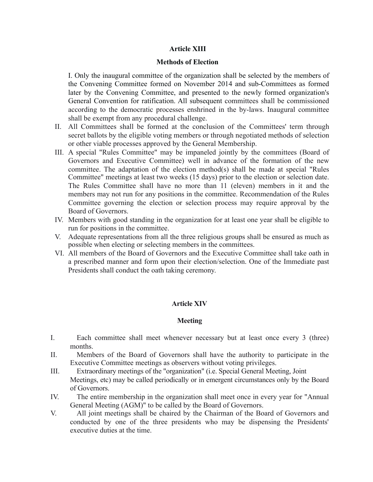### **Article XIII**

#### **Methods of Election**

I. Only the inaugural committee of the organization shall be selected by the members of the Convening Committee formed on November 2014 and sub-Committees as formed later by the Convening Committee, and presented to the newly formed organization's General Convention for ratification. All subsequent committees shall be commissioned according to the democratic processes enshrined in the by-laws. Inaugural committee shall be exempt from any procedural challenge.

- II. All Committees shall be formed at the conclusion of the Committees' term through secret ballots by the eligible voting members or through negotiated methods of selection or other viable processes approved by the General Membership.
- III. A special "Rules Committee" may be impaneled jointly by the committees (Board of Governors and Executive Committee) well in advance of the formation of the new committee. The adaptation of the election method(s) shall be made at special "Rules Committee" meetings at least two weeks (15 days) prior to the election or selection date. The Rules Committee shall have no more than 11 (eleven) members in it and the members may not run for any positions in the committee. Recommendation of the Rules Committee governing the election or selection process may require approval by the Board of Governors.
- IV. Members with good standing in the organization for at least one year shall be eligible to run for positions in the committee.
- V. Adequate representations from all the three religious groups shall be ensured as much as possible when electing or selecting members in the committees.
- VI. All members of the Board of Governors and the Executive Committee shall take oath in a prescribed manner and form upon their election/selection. One of the Immediate past Presidents shall conduct the oath taking ceremony.

### **Article XIV**

### **Meeting**

- I. Each committee shall meet whenever necessary but at least once every 3 (three) months.
- II. Members of the Board of Governors shall have the authority to participate in the Executive Committee meetings as observers without voting privileges.
- III. Extraordinary meetings of the "organization" (i.e. Special General Meeting, Joint Meetings, etc) may be called periodically or in emergent circumstances only by the Board of Governors.
- IV. The entire membership in the organization shall meet once in every year for "Annual General Meeting (AGM)" to be called by the Board of Governors.
- V. All joint meetings shall be chaired by the Chairman of the Board of Governors and conducted by one of the three presidents who may be dispensing the Presidents' executive duties at the time.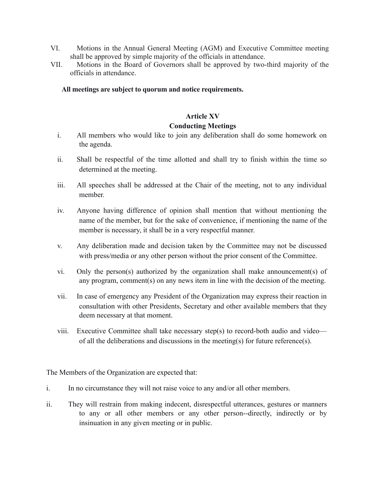- VI. Motions in the Annual General Meeting (AGM) and Executive Committee meeting shall be approved by simple majority of the officials in attendance.
- VII. Motions in the Board of Governors shall be approved by two-third majority of the officials in attendance.

**All meetings are subject to quorum and notice requirements.** 

### **Article XV**

### **Conducting Meetings**

- i. All members who would like to join any deliberation shall do some homework on the agenda.
- ii. Shall be respectful of the time allotted and shall try to finish within the time so determined at the meeting.
- iii. All speeches shall be addressed at the Chair of the meeting, not to any individual member.
- iv. Anyone having difference of opinion shall mention that without mentioning the name of the member, but for the sake of convenience, if mentioning the name of the member is necessary, it shall be in a very respectful manner.
- v. Any deliberation made and decision taken by the Committee may not be discussed with press/media or any other person without the prior consent of the Committee.
- vi. Only the person(s) authorized by the organization shall make announcement(s) of any program, comment(s) on any news item in line with the decision of the meeting.
- vii. In case of emergency any President of the Organization may express their reaction in consultation with other Presidents, Secretary and other available members that they deem necessary at that moment.
- viii. Executive Committee shall take necessary step(s) to record-both audio and video of all the deliberations and discussions in the meeting(s) for future reference(s).

The Members of the Organization are expected that:

- i. In no circumstance they will not raise voice to any and/or all other members.
- ii. They will restrain from making indecent, disrespectful utterances, gestures or manners to any or all other members or any other person--directly, indirectly or by insinuation in any given meeting or in public.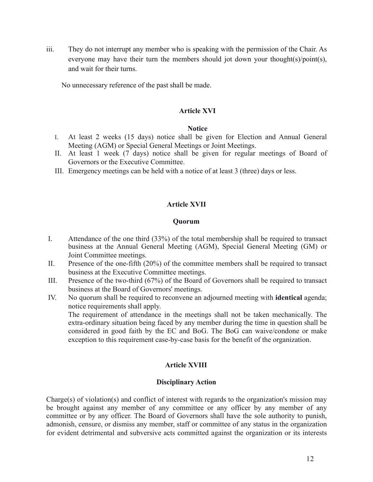iii. They do not interrupt any member who is speaking with the permission of the Chair. As everyone may have their turn the members should jot down your thought(s)/point(s), and wait for their turns.

No unnecessary reference of the past shall be made.

### **Article XVI**

### **Notice**

- I. At least 2 weeks (15 days) notice shall be given for Election and Annual General Meeting (AGM) or Special General Meetings or Joint Meetings.
- II. At least 1 week (7 days) notice shall be given for regular meetings of Board of Governors or the Executive Committee.
- III. Emergency meetings can be held with a notice of at least 3 (three) days or less.

## **Article XVII**

#### **Quorum**

- I. Attendance of the one third (33%) of the total membership shall be required to transact business at the Annual General Meeting (AGM), Special General Meeting (GM) or Joint Committee meetings.
- II. Presence of the one-fifth (20%) of the committee members shall be required to transact business at the Executive Committee meetings.
- III. Presence of the two-third (67%) of the Board of Governors shall be required to transact business at the Board of Governors' meetings.
- IV. No quorum shall be required to reconvene an adjourned meeting with **identical** agenda; notice requirements shall apply. The requirement of attendance in the meetings shall not be taken mechanically. The extra-ordinary situation being faced by any member during the time in question shall be considered in good faith by the EC and BoG. The BoG can waive/condone or make exception to this requirement case-by-case basis for the benefit of the organization.

## **Article XVIII**

### **Disciplinary Action**

Charge(s) of violation(s) and conflict of interest with regards to the organization's mission may be brought against any member of any committee or any officer by any member of any committee or by any officer. The Board of Governors shall have the sole authority to punish, admonish, censure, or dismiss any member, staff or committee of any status in the organization for evident detrimental and subversive acts committed against the organization or its interests